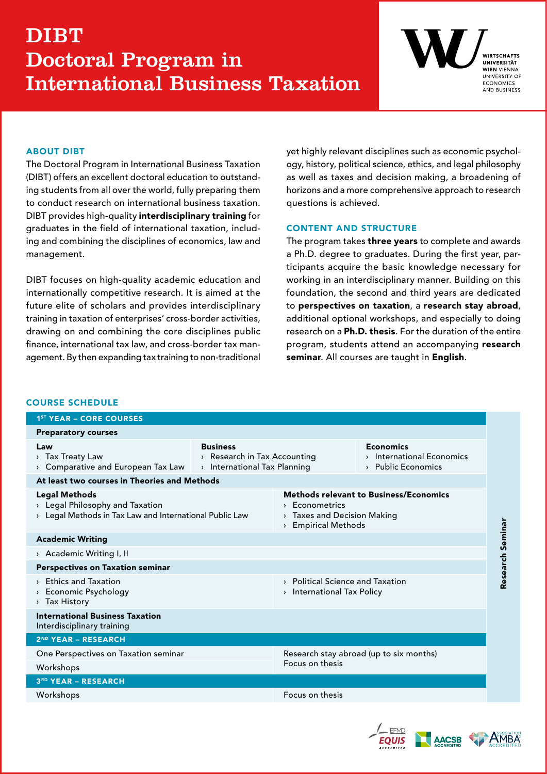# DIBT Doctoral Program in International Business Taxation



### ABOUT DIBT

The Doctoral Program in International Business Taxation (DIBT) offers an excellent doctoral education to outstanding students from all over the world, fully preparing them to conduct research on international business taxation. DIBT provides high-quality interdisciplinary training for graduates in the field of international taxation, including and combining the disciplines of economics, law and management.

DIBT focuses on high-quality academic education and internationally competitive research. It is aimed at the future elite of scholars and provides interdisciplinary training in taxation of enterprises' cross-border activities, drawing on and combining the core disciplines public finance, international tax law, and cross-border tax management. By then expanding tax training to non-traditional yet highly relevant disciplines such as economic psychology, history, political science, ethics, and legal philosophy as well as taxes and decision making, a broadening of horizons and a more comprehensive approach to research questions is achieved.

# CONTENT AND STRUCTURE

The program takes three years to complete and awards a Ph.D. degree to graduates. During the first year, participants acquire the basic knowledge necessary for working in an interdisciplinary manner. Building on this foundation, the second and third years are dedicated to perspectives on taxation, a research stay abroad, additional optional workshops, and especially to doing research on a Ph.D. thesis. For the duration of the entire program, students attend an accompanying research seminar. All courses are taught in English.

#### COURSE SCHEDULE

| <b>1ST YEAR - CORE COURSES</b>                                                                                                                   |                                                                                                                       |                                                                     |
|--------------------------------------------------------------------------------------------------------------------------------------------------|-----------------------------------------------------------------------------------------------------------------------|---------------------------------------------------------------------|
| <b>Preparatory courses</b>                                                                                                                       |                                                                                                                       |                                                                     |
| <b>Business</b><br>Law<br>> Tax Treaty Law<br>> Research in Tax Accounting<br>> Comparative and European Tax Law<br>> International Tax Planning |                                                                                                                       | <b>Economics</b><br>> International Economics<br>> Public Economics |
| At least two courses in Theories and Methods                                                                                                     |                                                                                                                       |                                                                     |
| <b>Legal Methods</b><br>> Legal Philosophy and Taxation<br>> Legal Methods in Tax Law and International Public Law                               | <b>Methods relevant to Business/Economics</b><br>> Econometrics<br>> Taxes and Decision Making<br>> Empirical Methods |                                                                     |
| <b>Academic Writing</b>                                                                                                                          |                                                                                                                       |                                                                     |
| > Academic Writing I, II                                                                                                                         |                                                                                                                       |                                                                     |
| <b>Perspectives on Taxation seminar</b>                                                                                                          |                                                                                                                       |                                                                     |
| > Ethics and Taxation<br>> Economic Psychology<br>> Tax History                                                                                  | > Political Science and Taxation<br>> International Tax Policy                                                        |                                                                     |
| <b>International Business Taxation</b><br>Interdisciplinary training                                                                             |                                                                                                                       |                                                                     |
| 2ND YEAR - RESEARCH                                                                                                                              |                                                                                                                       |                                                                     |
| One Perspectives on Taxation seminar<br>Workshops                                                                                                | Research stay abroad (up to six months)<br>Focus on thesis                                                            |                                                                     |
| 3RD YEAR - RESEARCH                                                                                                                              |                                                                                                                       |                                                                     |
| Workshops                                                                                                                                        | Focus on thesis                                                                                                       |                                                                     |